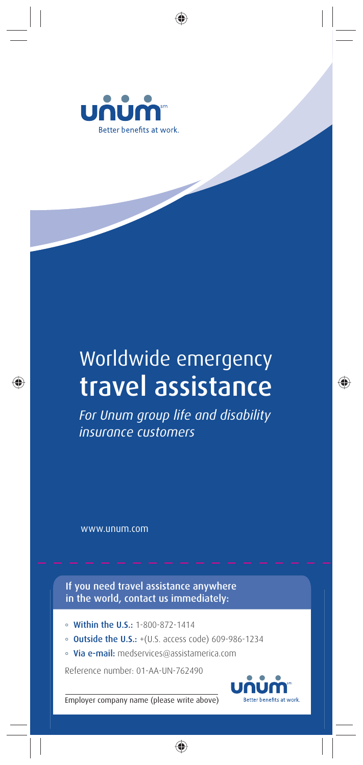

## Worldwide emergency travel assistance

*For Unum group life and disability insurance customers*

www.unum.com

If you need travel assistance anywhere in the world, contact us immediately:

- Within the U.S.: 1-800-872-1414
- **Outside the U.S.:** +(U.S. access code) 609-986-1234
- · Via e-mail: medservices@assistamerica.com

Reference number: 01-AA-UN-762490



Employer company name (please write above)